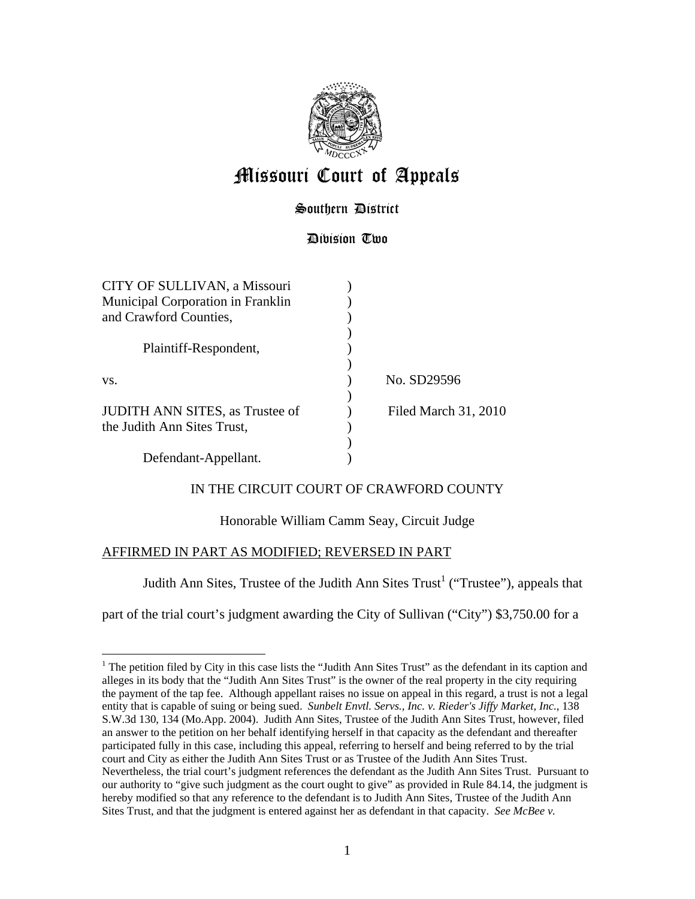

# Missouri Court of Appeals

## Southern District

### Division Two

| CITY OF SULLIVAN, a Missouri           |                      |  |
|----------------------------------------|----------------------|--|
| Municipal Corporation in Franklin      |                      |  |
| and Crawford Counties,                 |                      |  |
|                                        |                      |  |
| Plaintiff-Respondent,                  |                      |  |
|                                        |                      |  |
| VS.                                    | No. SD29596          |  |
|                                        |                      |  |
| <b>JUDITH ANN SITES, as Trustee of</b> | Filed March 31, 2010 |  |
| the Judith Ann Sites Trust,            |                      |  |
|                                        |                      |  |
| Defendant-Appellant.                   |                      |  |

### IN THE CIRCUIT COURT OF CRAWFORD COUNTY

### Honorable William Camm Seay, Circuit Judge

### AFFIRMED IN PART AS MODIFIED; REVERSED IN PART

 $\overline{a}$ 

Judith Ann Sites, Trustee of the Judith Ann Sites  $Trust<sup>1</sup>$  ("Trustee"), appeals that

part of the trial court's judgment awarding the City of Sullivan ("City") \$3,750.00 for a

<sup>&</sup>lt;sup>1</sup> The petition filed by City in this case lists the "Judith Ann Sites Trust" as the defendant in its caption and alleges in its body that the "Judith Ann Sites Trust" is the owner of the real property in the city requiring the payment of the tap fee. Although appellant raises no issue on appeal in this regard, a trust is not a legal entity that is capable of suing or being sued. *Sunbelt Envtl. Servs., Inc. v. Rieder's Jiffy Market, Inc.*, 138 S.W.3d 130, 134 (Mo.App. 2004). Judith Ann Sites, Trustee of the Judith Ann Sites Trust, however, filed an answer to the petition on her behalf identifying herself in that capacity as the defendant and thereafter participated fully in this case, including this appeal, referring to herself and being referred to by the trial court and City as either the Judith Ann Sites Trust or as Trustee of the Judith Ann Sites Trust. Nevertheless, the trial court's judgment references the defendant as the Judith Ann Sites Trust. Pursuant to our authority to "give such judgment as the court ought to give" as provided in Rule 84.14, the judgment is hereby modified so that any reference to the defendant is to Judith Ann Sites, Trustee of the Judith Ann Sites Trust, and that the judgment is entered against her as defendant in that capacity. *See McBee v.*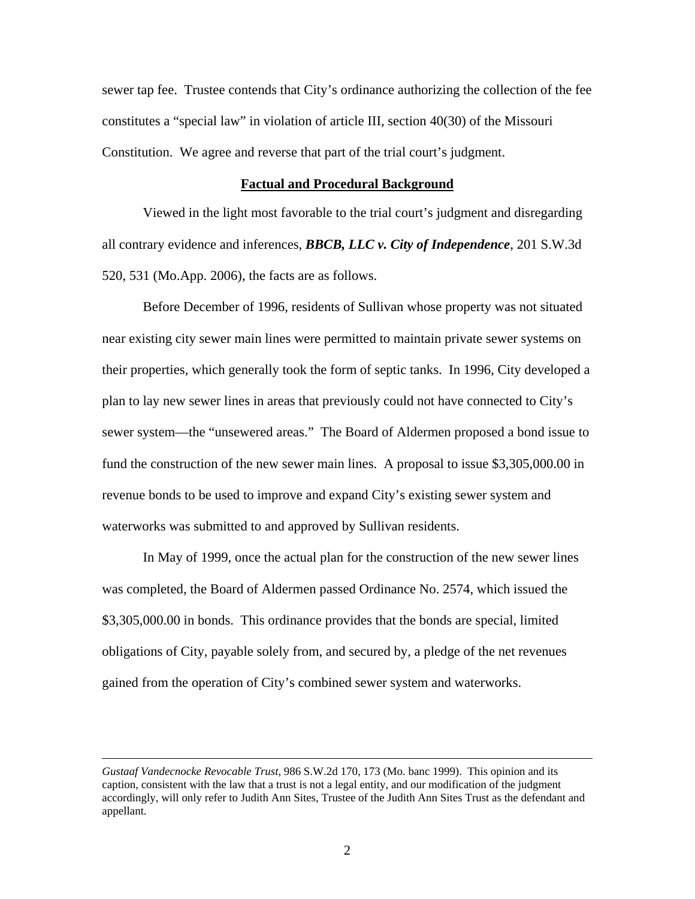sewer tap fee. Trustee contends that City's ordinance authorizing the collection of the fee constitutes a "special law" in violation of article III, section 40(30) of the Missouri Constitution. We agree and reverse that part of the trial court's judgment.

#### **Factual and Procedural Background**

Viewed in the light most favorable to the trial court's judgment and disregarding all contrary evidence and inferences, *BBCB, LLC v. City of Independence*, 201 S.W.3d 520, 531 (Mo.App. 2006), the facts are as follows.

 Before December of 1996, residents of Sullivan whose property was not situated near existing city sewer main lines were permitted to maintain private sewer systems on their properties, which generally took the form of septic tanks. In 1996, City developed a plan to lay new sewer lines in areas that previously could not have connected to City's sewer system—the "unsewered areas." The Board of Aldermen proposed a bond issue to fund the construction of the new sewer main lines. A proposal to issue \$3,305,000.00 in revenue bonds to be used to improve and expand City's existing sewer system and waterworks was submitted to and approved by Sullivan residents.

In May of 1999, once the actual plan for the construction of the new sewer lines was completed, the Board of Aldermen passed Ordinance No. 2574, which issued the \$3,305,000.00 in bonds. This ordinance provides that the bonds are special, limited obligations of City, payable solely from, and secured by, a pledge of the net revenues gained from the operation of City's combined sewer system and waterworks.

 $\overline{a}$ 

*Gustaaf Vandecnocke Revocable Trust*, 986 S.W.2d 170, 173 (Mo. banc 1999). This opinion and its caption, consistent with the law that a trust is not a legal entity, and our modification of the judgment accordingly, will only refer to Judith Ann Sites, Trustee of the Judith Ann Sites Trust as the defendant and appellant.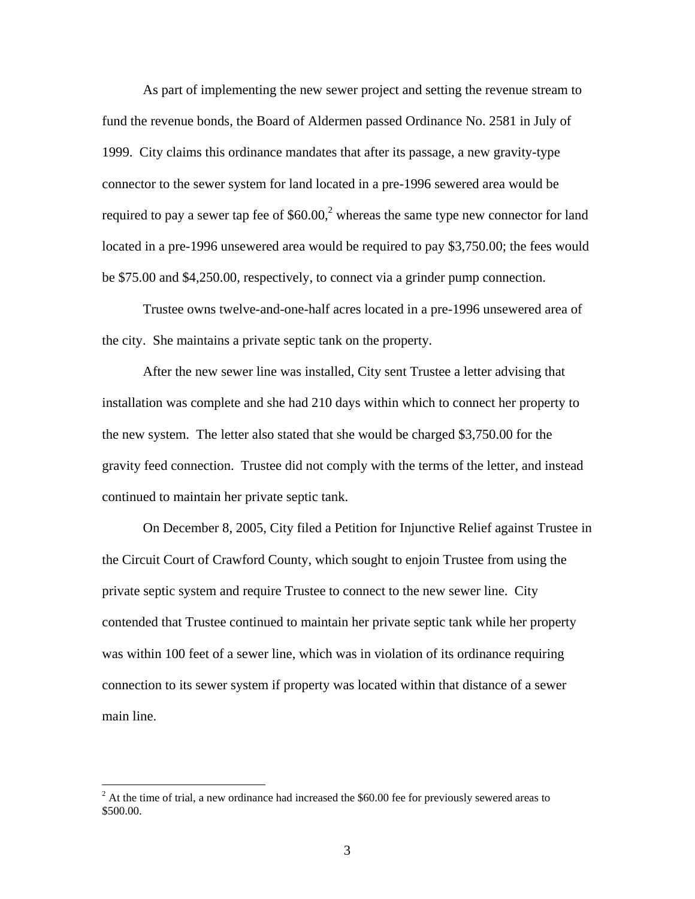As part of implementing the new sewer project and setting the revenue stream to fund the revenue bonds, the Board of Aldermen passed Ordinance No. 2581 in July of 1999. City claims this ordinance mandates that after its passage, a new gravity-type connector to the sewer system for land located in a pre-1996 sewered area would be required to pay a sewer tap fee of  $$60.00$ <sup>2</sup> whereas the same type new connector for land located in a pre-1996 unsewered area would be required to pay \$3,750.00; the fees would be \$75.00 and \$4,250.00, respectively, to connect via a grinder pump connection.

Trustee owns twelve-and-one-half acres located in a pre-1996 unsewered area of the city. She maintains a private septic tank on the property.

After the new sewer line was installed, City sent Trustee a letter advising that installation was complete and she had 210 days within which to connect her property to the new system. The letter also stated that she would be charged \$3,750.00 for the gravity feed connection. Trustee did not comply with the terms of the letter, and instead continued to maintain her private septic tank.

On December 8, 2005, City filed a Petition for Injunctive Relief against Trustee in the Circuit Court of Crawford County, which sought to enjoin Trustee from using the private septic system and require Trustee to connect to the new sewer line. City contended that Trustee continued to maintain her private septic tank while her property was within 100 feet of a sewer line, which was in violation of its ordinance requiring connection to its sewer system if property was located within that distance of a sewer main line.

<sup>&</sup>lt;sup>2</sup> At the time of trial, a new ordinance had increased the \$60.00 fee for previously sewered areas to \$500.00.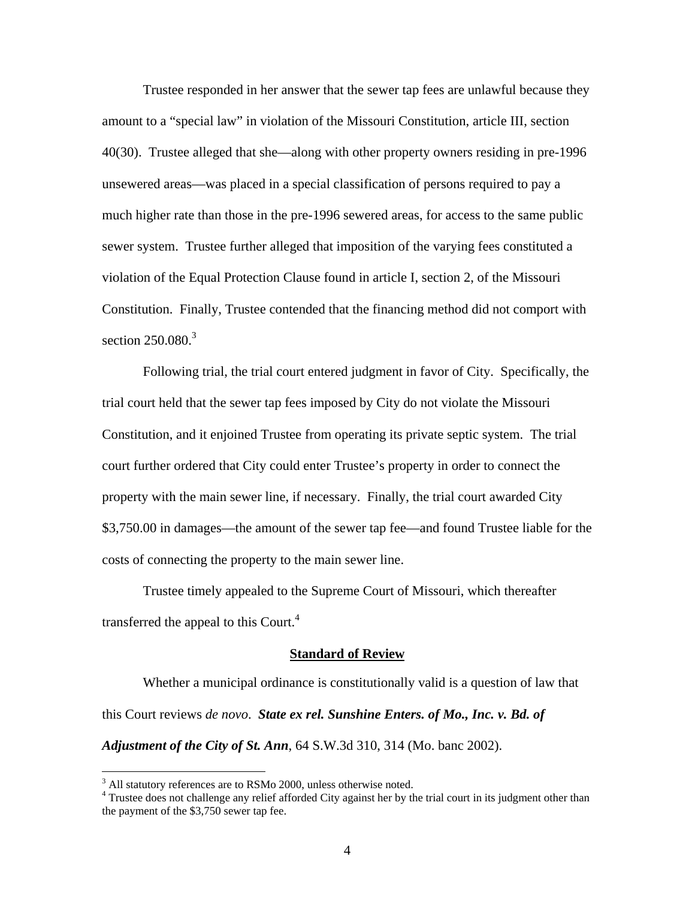Trustee responded in her answer that the sewer tap fees are unlawful because they amount to a "special law" in violation of the Missouri Constitution, article III, section 40(30). Trustee alleged that she—along with other property owners residing in pre-1996 unsewered areas—was placed in a special classification of persons required to pay a much higher rate than those in the pre-1996 sewered areas, for access to the same public sewer system. Trustee further alleged that imposition of the varying fees constituted a violation of the Equal Protection Clause found in article I, section 2, of the Missouri Constitution. Finally, Trustee contended that the financing method did not comport with section  $250.080$ <sup>3</sup>

Following trial, the trial court entered judgment in favor of City. Specifically, the trial court held that the sewer tap fees imposed by City do not violate the Missouri Constitution, and it enjoined Trustee from operating its private septic system. The trial court further ordered that City could enter Trustee's property in order to connect the property with the main sewer line, if necessary. Finally, the trial court awarded City \$3,750.00 in damages—the amount of the sewer tap fee—and found Trustee liable for the costs of connecting the property to the main sewer line.

Trustee timely appealed to the Supreme Court of Missouri, which thereafter transferred the appeal to this Court.<sup>4</sup>

#### **Standard of Review**

Whether a municipal ordinance is constitutionally valid is a question of law that this Court reviews *de novo*. *State ex rel. Sunshine Enters. of Mo., Inc. v. Bd. of Adjustment of the City of St. Ann*, 64 S.W.3d 310, 314 (Mo. banc 2002).

 $\overline{a}$ 

 $3$  All statutory references are to RSMo 2000, unless otherwise noted.

<sup>&</sup>lt;sup>4</sup> Trustee does not challenge any relief afforded City against her by the trial court in its judgment other than the payment of the \$3,750 sewer tap fee.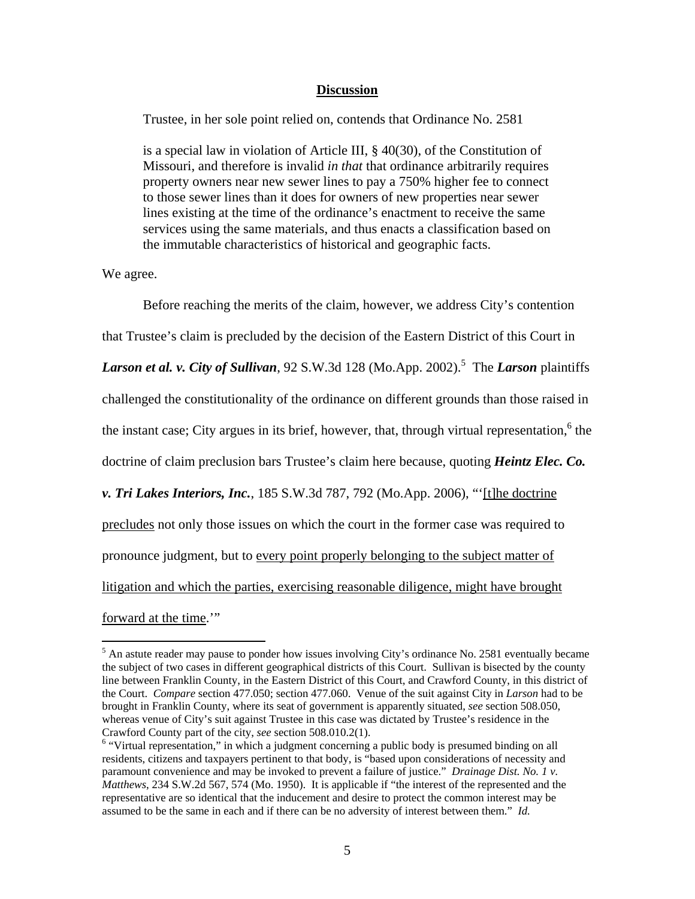#### **Discussion**

Trustee, in her sole point relied on, contends that Ordinance No. 2581

is a special law in violation of Article III, § 40(30), of the Constitution of Missouri, and therefore is invalid *in that* that ordinance arbitrarily requires property owners near new sewer lines to pay a 750% higher fee to connect to those sewer lines than it does for owners of new properties near sewer lines existing at the time of the ordinance's enactment to receive the same services using the same materials, and thus enacts a classification based on the immutable characteristics of historical and geographic facts.

We agree.

 $\overline{a}$ 

Before reaching the merits of the claim, however, we address City's contention that Trustee's claim is precluded by the decision of the Eastern District of this Court in Larson et al. v. City of Sullivan, 92 S.W.3d 128 (Mo.App. 2002).<sup>5</sup> The *Larson* plaintiffs challenged the constitutionality of the ordinance on different grounds than those raised in the instant case; City argues in its brief, however, that, through virtual representation,  $6$  the doctrine of claim preclusion bars Trustee's claim here because, quoting *Heintz Elec. Co. v. Tri Lakes Interiors, Inc.*, 185 S.W.3d 787, 792 (Mo.App. 2006), "'[t]he doctrine precludes not only those issues on which the court in the former case was required to pronounce judgment, but to every point properly belonging to the subject matter of litigation and which the parties, exercising reasonable diligence, might have brought forward at the time."

<sup>&</sup>lt;sup>5</sup> An astute reader may pause to ponder how issues involving City's ordinance No. 2581 eventually became the subject of two cases in different geographical districts of this Court. Sullivan is bisected by the county line between Franklin County, in the Eastern District of this Court, and Crawford County, in this district of the Court. *Compare* section 477.050; section 477.060. Venue of the suit against City in *Larson* had to be brought in Franklin County, where its seat of government is apparently situated, *see* section 508.050, whereas venue of City's suit against Trustee in this case was dictated by Trustee's residence in the Crawford County part of the city, *see* section 508.010.2(1). 6

<sup>&</sup>lt;sup>6</sup> "Virtual representation," in which a judgment concerning a public body is presumed binding on all residents, citizens and taxpayers pertinent to that body, is "based upon considerations of necessity and paramount convenience and may be invoked to prevent a failure of justice." *Drainage Dist. No. 1 v. Matthews*, 234 S.W.2d 567, 574 (Mo. 1950). It is applicable if "the interest of the represented and the representative are so identical that the inducement and desire to protect the common interest may be assumed to be the same in each and if there can be no adversity of interest between them." *Id.*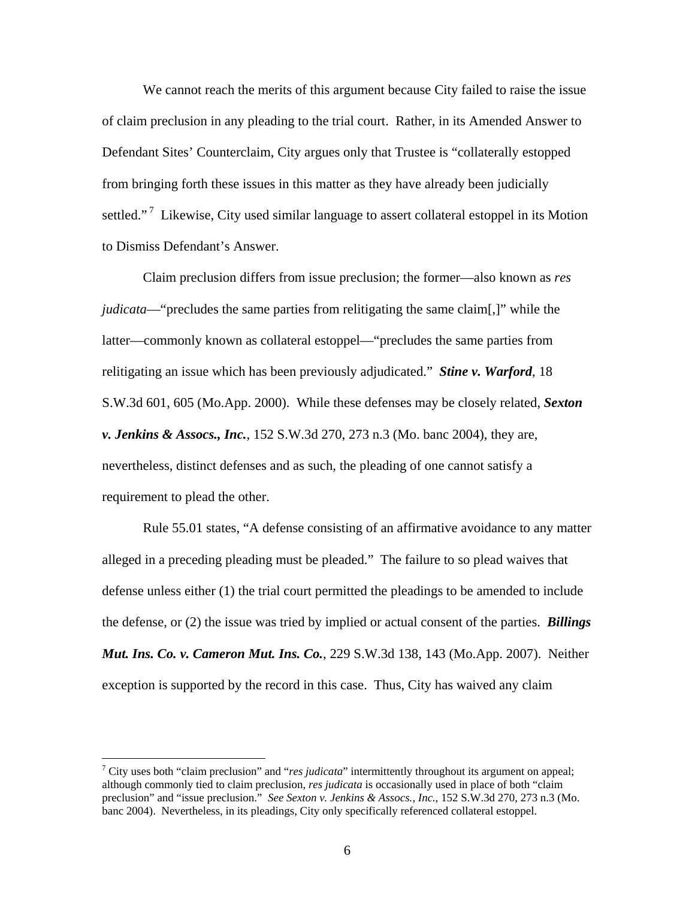We cannot reach the merits of this argument because City failed to raise the issue of claim preclusion in any pleading to the trial court. Rather, in its Amended Answer to Defendant Sites' Counterclaim, City argues only that Trustee is "collaterally estopped from bringing forth these issues in this matter as they have already been judicially settled."<sup>7</sup> Likewise, City used similar language to assert collateral estoppel in its Motion to Dismiss Defendant's Answer.

Claim preclusion differs from issue preclusion; the former—also known as *res judicata*—"precludes the same parties from relitigating the same claim[,]" while the latter—commonly known as collateral estoppel—"precludes the same parties from relitigating an issue which has been previously adjudicated." *Stine v. Warford*, 18 S.W.3d 601, 605 (Mo.App. 2000). While these defenses may be closely related, *Sexton v. Jenkins & Assocs., Inc.*, 152 S.W.3d 270, 273 n.3 (Mo. banc 2004), they are, nevertheless, distinct defenses and as such, the pleading of one cannot satisfy a requirement to plead the other.

Rule 55.01 states, "A defense consisting of an affirmative avoidance to any matter alleged in a preceding pleading must be pleaded." The failure to so plead waives that defense unless either (1) the trial court permitted the pleadings to be amended to include the defense, or (2) the issue was tried by implied or actual consent of the parties. *Billings Mut. Ins. Co. v. Cameron Mut. Ins. Co.*, 229 S.W.3d 138, 143 (Mo.App. 2007). Neither exception is supported by the record in this case. Thus, City has waived any claim

<u>.</u>

<sup>&</sup>lt;sup>7</sup> City uses both "claim preclusion" and "*res judicata*" intermittently throughout its argument on appeal; although commonly tied to claim preclusion, *res judicata* is occasionally used in place of both "claim preclusion" and "issue preclusion." *See Sexton v. Jenkins & Assocs., Inc.*, 152 S.W.3d 270, 273 n.3 (Mo. banc 2004). Nevertheless, in its pleadings, City only specifically referenced collateral estoppel.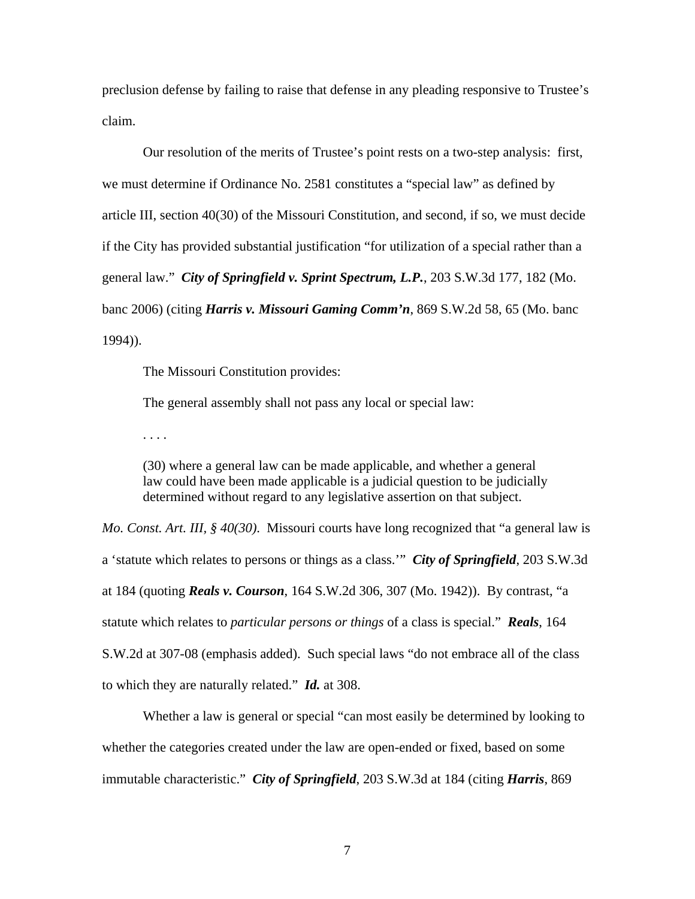preclusion defense by failing to raise that defense in any pleading responsive to Trustee's claim.

Our resolution of the merits of Trustee's point rests on a two-step analysis: first, we must determine if Ordinance No. 2581 constitutes a "special law" as defined by article III, section 40(30) of the Missouri Constitution, and second, if so, we must decide if the City has provided substantial justification "for utilization of a special rather than a general law." *City of Springfield v. Sprint Spectrum, L.P.*, 203 S.W.3d 177, 182 (Mo. banc 2006) (citing *Harris v. Missouri Gaming Comm'n*, 869 S.W.2d 58, 65 (Mo. banc 1994)).

The Missouri Constitution provides:

The general assembly shall not pass any local or special law:

. . . .

(30) where a general law can be made applicable, and whether a general law could have been made applicable is a judicial question to be judicially determined without regard to any legislative assertion on that subject.

*Mo. Const. Art. III, § 40(30)*. Missouri courts have long recognized that "a general law is a 'statute which relates to persons or things as a class.'" *City of Springfield*, 203 S.W.3d at 184 (quoting *Reals v. Courson*, 164 S.W.2d 306, 307 (Mo. 1942)). By contrast, "a statute which relates to *particular persons or things* of a class is special." *Reals*, 164 S.W.2d at 307-08 (emphasis added). Such special laws "do not embrace all of the class to which they are naturally related." *Id.* at 308.

Whether a law is general or special "can most easily be determined by looking to whether the categories created under the law are open-ended or fixed, based on some immutable characteristic." *City of Springfield*, 203 S.W.3d at 184 (citing *Harris*, 869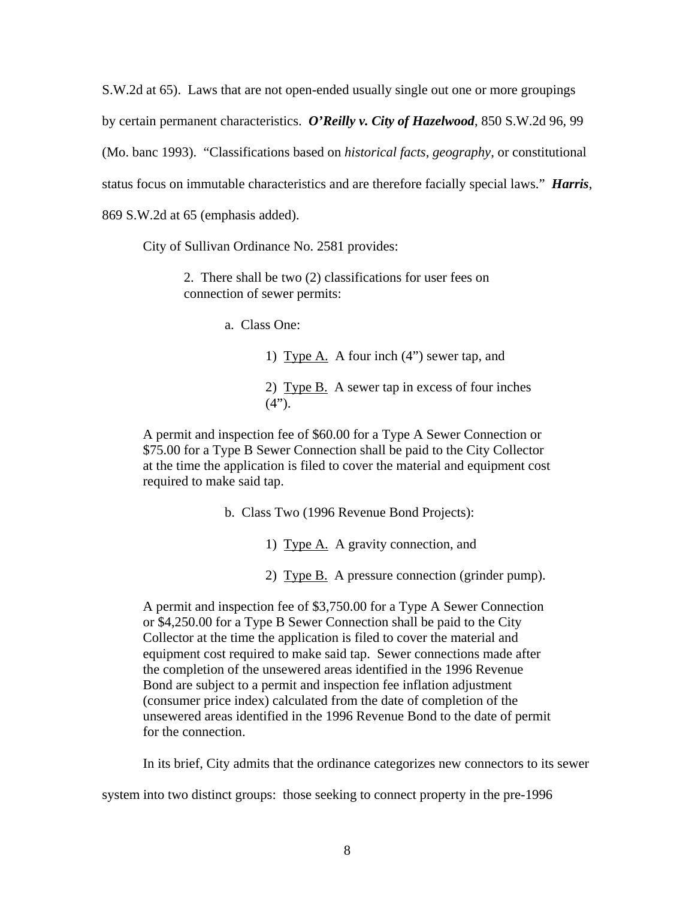S.W.2d at 65). Laws that are not open-ended usually single out one or more groupings by certain permanent characteristics. *O'Reilly v. City of Hazelwood*, 850 S.W.2d 96, 99 (Mo. banc 1993). "Classifications based on *historical facts*, *geography*, or constitutional status focus on immutable characteristics and are therefore facially special laws." *Harris*, 869 S.W.2d at 65 (emphasis added).

City of Sullivan Ordinance No. 2581 provides:

2. There shall be two (2) classifications for user fees on connection of sewer permits:

a. Class One:

1) Type A. A four inch  $(4")$  sewer tap, and 2) Type B. A sewer tap in excess of four inches  $(4")$ .

A permit and inspection fee of \$60.00 for a Type A Sewer Connection or \$75.00 for a Type B Sewer Connection shall be paid to the City Collector at the time the application is filed to cover the material and equipment cost required to make said tap.

b. Class Two (1996 Revenue Bond Projects):

1) Type A. A gravity connection, and

2) Type B. A pressure connection (grinder pump).

A permit and inspection fee of \$3,750.00 for a Type A Sewer Connection or \$4,250.00 for a Type B Sewer Connection shall be paid to the City Collector at the time the application is filed to cover the material and equipment cost required to make said tap. Sewer connections made after the completion of the unsewered areas identified in the 1996 Revenue Bond are subject to a permit and inspection fee inflation adjustment (consumer price index) calculated from the date of completion of the unsewered areas identified in the 1996 Revenue Bond to the date of permit for the connection.

In its brief, City admits that the ordinance categorizes new connectors to its sewer

system into two distinct groups: those seeking to connect property in the pre-1996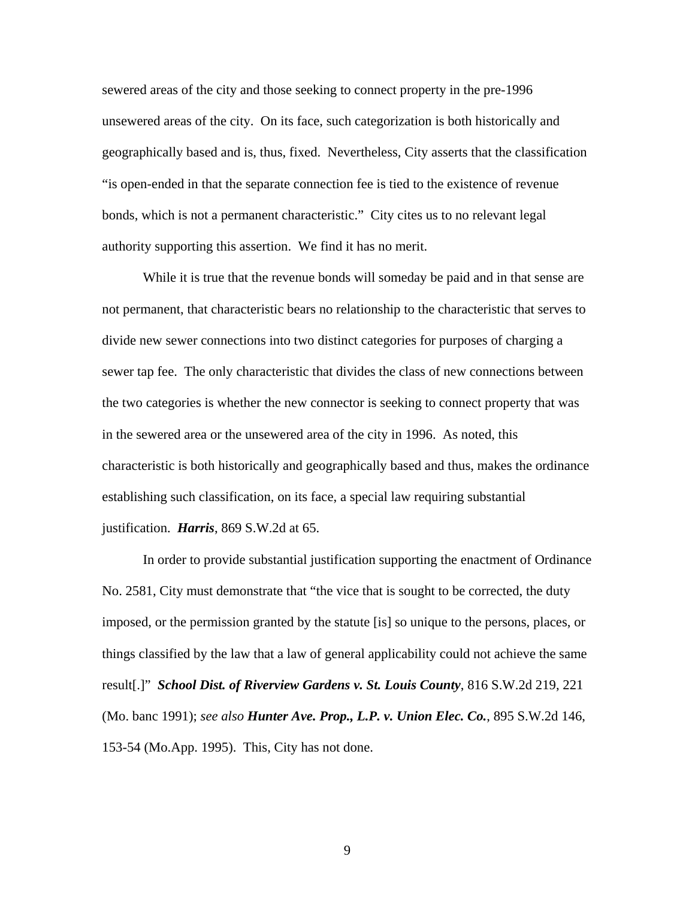sewered areas of the city and those seeking to connect property in the pre-1996 unsewered areas of the city. On its face, such categorization is both historically and geographically based and is, thus, fixed. Nevertheless, City asserts that the classification "is open-ended in that the separate connection fee is tied to the existence of revenue bonds, which is not a permanent characteristic." City cites us to no relevant legal authority supporting this assertion. We find it has no merit.

While it is true that the revenue bonds will someday be paid and in that sense are not permanent, that characteristic bears no relationship to the characteristic that serves to divide new sewer connections into two distinct categories for purposes of charging a sewer tap fee. The only characteristic that divides the class of new connections between the two categories is whether the new connector is seeking to connect property that was in the sewered area or the unsewered area of the city in 1996. As noted, this characteristic is both historically and geographically based and thus, makes the ordinance establishing such classification, on its face, a special law requiring substantial justification. *Harris*, 869 S.W.2d at 65.

In order to provide substantial justification supporting the enactment of Ordinance No. 2581, City must demonstrate that "the vice that is sought to be corrected, the duty imposed, or the permission granted by the statute [is] so unique to the persons, places, or things classified by the law that a law of general applicability could not achieve the same result[.]" *School Dist. of Riverview Gardens v. St. Louis County*, 816 S.W.2d 219, 221 (Mo. banc 1991); *see also Hunter Ave. Prop., L.P. v. Union Elec. Co.*, 895 S.W.2d 146, 153-54 (Mo.App. 1995). This, City has not done.

9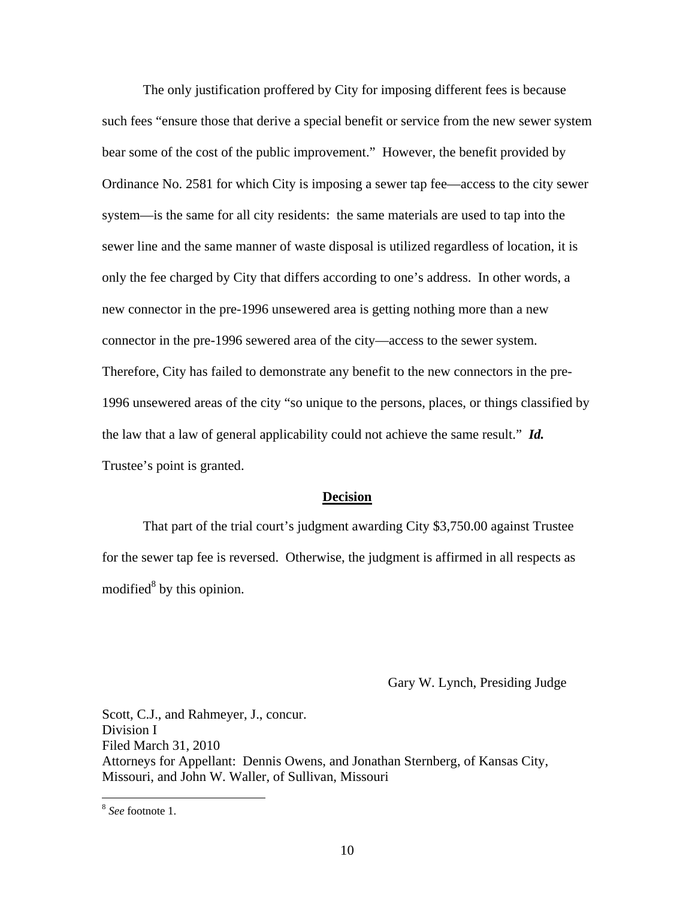The only justification proffered by City for imposing different fees is because such fees "ensure those that derive a special benefit or service from the new sewer system bear some of the cost of the public improvement." However, the benefit provided by Ordinance No. 2581 for which City is imposing a sewer tap fee—access to the city sewer system—is the same for all city residents: the same materials are used to tap into the sewer line and the same manner of waste disposal is utilized regardless of location, it is only the fee charged by City that differs according to one's address. In other words, a new connector in the pre-1996 unsewered area is getting nothing more than a new connector in the pre-1996 sewered area of the city—access to the sewer system. Therefore, City has failed to demonstrate any benefit to the new connectors in the pre-1996 unsewered areas of the city "so unique to the persons, places, or things classified by the law that a law of general applicability could not achieve the same result." *Id.* Trustee's point is granted.

#### **Decision**

 That part of the trial court's judgment awarding City \$3,750.00 against Trustee for the sewer tap fee is reversed. Otherwise, the judgment is affirmed in all respects as modified<sup>8</sup> by this opinion.

Gary W. Lynch, Presiding Judge

Scott, C.J., and Rahmeyer, J., concur. Division I Filed March 31, 2010 Attorneys for Appellant: Dennis Owens, and Jonathan Sternberg, of Kansas City, Missouri, and John W. Waller, of Sullivan, Missouri

<u>.</u>

<sup>8</sup> *See* footnote 1.